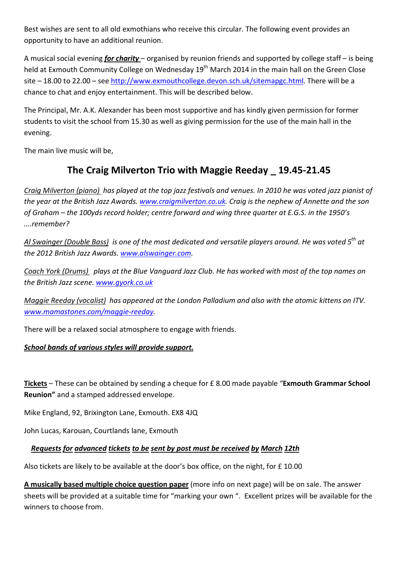Best wishes are sent to all old exmothians who receive this circular. The following event provides an opportunity to have an additional reunion.

A musical social evening *for charity* – organised by reunion friends and supported by college staff – is being held at Exmouth Community College on Wednesday 19<sup>th</sup> March 2014 in the main hall on the Green Close site – 18.00 to 22.00 – see http://www.exmouthcollege.devon.sch.uk/sitemapgc.html. There will be a chance to chat and enjoy entertainment. This will be described below.

The Principal, Mr. A.K. Alexander has been most supportive and has kindly given permission for former students to visit the school from 15.30 as well as giving permission for the use of the main hall in the evening.

The main live music will be,

# **The Craig Milverton Trio with Maggie Reeday \_ 19.45-21.45**

*Craig Milverton (piano) has played at the top jazz festivals and venues. In 2010 he was voted jazz pianist of the year at the British Jazz Awards. www.craigmilverton.co.uk. Craig is the nephew of Annette and the son of Graham – the 100yds record holder; centre forward and wing three quarter at E.G.S. in the 1950's ….remember?*

*Al Swainger (Double Bass) is one of the most dedicated and versatile players around. He was voted 5th at the 2012 British Jazz Awards. www.alswainger.com.*

*Coach York (Drums) plays at the Blue Vanguard Jazz Club. He has worked with most of the top names on the British Jazz scene. www.gyork.co.uk*

*Maggie Reeday (vocalist) has appeared at the London Palladium and also with the atomic kittens on ITV. www.mamastones.com/maggie-reeday.*

There will be a relaxed social atmosphere to engage with friends.

## *School bands of various styles will provide support.*

**Tickets** – These can be obtained by sending a cheque for £ 8.00 made payable "**Exmouth Grammar School Reunion"** and a stamped addressed envelope.

Mike England, 92, Brixington Lane, Exmouth. EX8 4JQ

John Lucas, Karouan, Courtlands lane, Exmouth

## *Requests for advanced tickets to be sent by post must be received by March 12th*

Also tickets are likely to be available at the door's box office, on the night, for £ 10.00

**A musically based multiple choice question paper** (more info on next page) will be on sale. The answer sheets will be provided at a suitable time for "marking your own ". Excellent prizes will be available for the winners to choose from.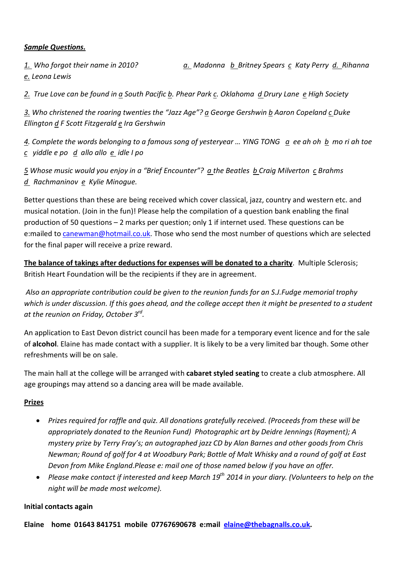## *Sample Questions.*

*1. Who forgot their name in 2010? a. Madonna b Britney Spears c Katy Perry d. Rihanna e. Leona Lewis*

*2. True Love can be found in a South Pacific b. Phear Park c. Oklahoma d Drury Lane e High Society*

*3. Who christened the roaring twenties the "Jazz Age"? a George Gershwin b Aaron Copeland c Duke Ellington d F Scott Fitzgerald e Ira Gershwin*

*4. Complete the words belonging to a famous song of yesteryear … YING TONG a ee ah oh b mo ri ah toe c yiddle e po d allo allo e idle I po*

*5 Whose music would you enjoy in a "Brief Encounter"? a the Beatles b Craig Milverton c Brahms d Rachmaninov e Kylie Minogue.*

Better questions than these are being received which cover classical, jazz, country and western etc. and musical notation. (Join in the fun)! Please help the compilation of a question bank enabling the final production of 50 questions – 2 marks per question; only 1 if internet used. These questions can be e:mailed to canewman@hotmail.co.uk. Those who send the most number of questions which are selected for the final paper will receive a prize reward.

**The balance of takings after deductions for expenses will be donated to a charity**. Multiple Sclerosis; British Heart Foundation will be the recipients if they are in agreement.

*Also an appropriate contribution could be given to the reunion funds for an S.J.Fudge memorial trophy*  which is under discussion. If this goes ahead, and the college accept then it might be presented to a student *at the reunion on Friday, October 3rd .* 

An application to East Devon district council has been made for a temporary event licence and for the sale of **alcohol**. Elaine has made contact with a supplier. It is likely to be a very limited bar though. Some other refreshments will be on sale.

The main hall at the college will be arranged with **cabaret styled seating** to create a club atmosphere. All age groupings may attend so a dancing area will be made available.

## **Prizes**

- *Prizes required for raffle and quiz. All donations gratefully received. (Proceeds from these will be appropriately donated to the Reunion Fund) Photographic art by Deidre Jennings (Rayment); A mystery prize by Terry Fray's; an autographed jazz CD by Alan Barnes and other goods from Chris Newman; Round of golf for 4 at Woodbury Park; Bottle of Malt Whisky and a round of golf at East Devon from Mike England.Please e: mail one of those named below if you have an offer.*
- *Please make contact if interested and keep March 19th 2014 in your diary. (Volunteers to help on the night will be made most welcome).*

## **Initial contacts again**

**Elaine home 01643 841751 mobile 07767690678 e:mail elaine@thebagnalls.co.uk.**